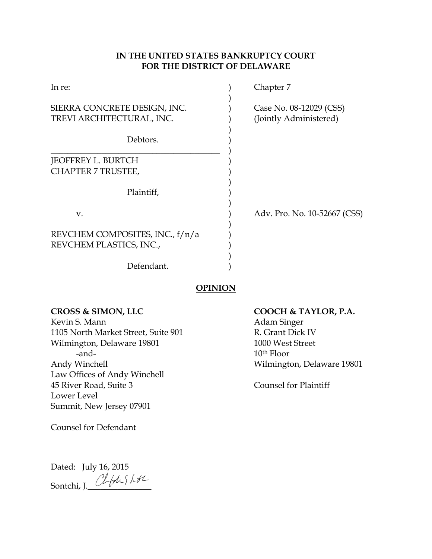# **IN THE UNITED STATES BANKRUPTCY COURT FOR THE DISTRICT OF DELAWARE**

| In re:                                                    | Chapter 7                                         |
|-----------------------------------------------------------|---------------------------------------------------|
| SIERRA CONCRETE DESIGN, INC.<br>TREVI ARCHITECTURAL, INC. | Case No. 08-12029 (CSS)<br>(Jointly Administered) |
| Debtors.                                                  |                                                   |
| JEOFFREY L. BURTCH                                        |                                                   |
| <b>CHAPTER 7 TRUSTEE,</b>                                 |                                                   |
| Plaintiff,                                                |                                                   |
| $V_{\cdot}$                                               | Adv. Pro. No. 10-52667 (CSS)                      |
| REVCHEM COMPOSITES, INC., f/n/a                           |                                                   |
| REVCHEM PLASTICS, INC.,                                   |                                                   |
| Defendant.                                                |                                                   |

# **OPINION**

Kevin S. Mann Adam Singer 1105 North Market Street, Suite 901 R. Grant Dick IV Wilmington, Delaware 19801 1000 West Street -and- 10<sup>th</sup> Floor Andy Winchell **Andy Wilmington**, Delaware 19801 Law Offices of Andy Winchell 45 River Road, Suite 3 Counsel for Plaintiff Lower Level Summit, New Jersey 07901

Counsel for Defendant

Dated: July 16, 2015 Sontchi, J. Clefty Lt

# **CROSS & SIMON, LLC COOCH & TAYLOR, P.A.**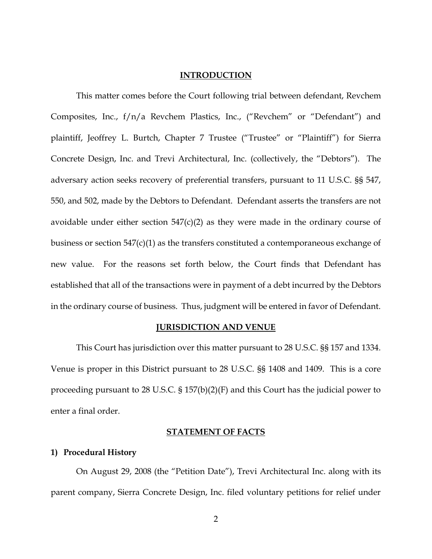## **INTRODUCTION**

This matter comes before the Court following trial between defendant, Revchem Composites, Inc., f/n/a Revchem Plastics, Inc., ("Revchem" or "Defendant") and plaintiff, Jeoffrey L. Burtch, Chapter 7 Trustee ("Trustee" or "Plaintiff") for Sierra Concrete Design, Inc. and Trevi Architectural, Inc. (collectively, the "Debtors"). The adversary action seeks recovery of preferential transfers, pursuant to 11 U.S.C. §§ 547, 550, and 502, made by the Debtors to Defendant. Defendant asserts the transfers are not avoidable under either section  $547(c)(2)$  as they were made in the ordinary course of business or section 547(c)(1) as the transfers constituted a contemporaneous exchange of new value. For the reasons set forth below, the Court finds that Defendant has established that all of the transactions were in payment of a debt incurred by the Debtors in the ordinary course of business. Thus, judgment will be entered in favor of Defendant.

#### **JURISDICTION AND VENUE**

This Court has jurisdiction over this matter pursuant to 28 U.S.C. §§ 157 and 1334. Venue is proper in this District pursuant to 28 U.S.C. §§ 1408 and 1409. This is a core proceeding pursuant to 28 U.S.C. § 157(b)(2)(F) and this Court has the judicial power to enter a final order.

#### **STATEMENT OF FACTS**

#### **1) Procedural History**

On August 29, 2008 (the "Petition Date"), Trevi Architectural Inc. along with its parent company, Sierra Concrete Design, Inc. filed voluntary petitions for relief under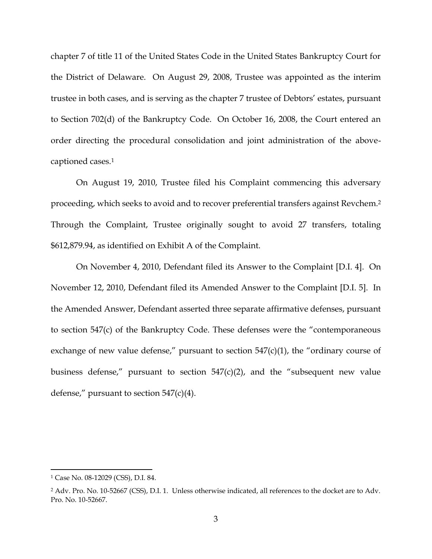chapter 7 of title 11 of the United States Code in the United States Bankruptcy Court for the District of Delaware. On August 29, 2008, Trustee was appointed as the interim trustee in both cases, and is serving as the chapter 7 trustee of Debtors' estates, pursuant to Section 702(d) of the Bankruptcy Code. On October 16, 2008, the Court entered an order directing the procedural consolidation and joint administration of the abovecaptioned cases.<sup>1</sup>

On August 19, 2010, Trustee filed his Complaint commencing this adversary proceeding, which seeks to avoid and to recover preferential transfers against Revchem. 2 Through the Complaint, Trustee originally sought to avoid 27 transfers, totaling \$612,879.94, as identified on Exhibit A of the Complaint.

On November 4, 2010, Defendant filed its Answer to the Complaint [D.I. 4]. On November 12, 2010, Defendant filed its Amended Answer to the Complaint [D.I. 5]. In the Amended Answer, Defendant asserted three separate affirmative defenses, pursuant to section 547(c) of the Bankruptcy Code. These defenses were the "contemporaneous exchange of new value defense," pursuant to section  $547(c)(1)$ , the "ordinary course of business defense," pursuant to section  $547(c)(2)$ , and the "subsequent new value defense," pursuant to section  $547(c)(4)$ .

<sup>1</sup> Case No. 08-12029 (CSS), D.I. 84.

<sup>2</sup> Adv. Pro. No. 10-52667 (CSS), D.I. 1. Unless otherwise indicated, all references to the docket are to Adv. Pro. No. 10-52667.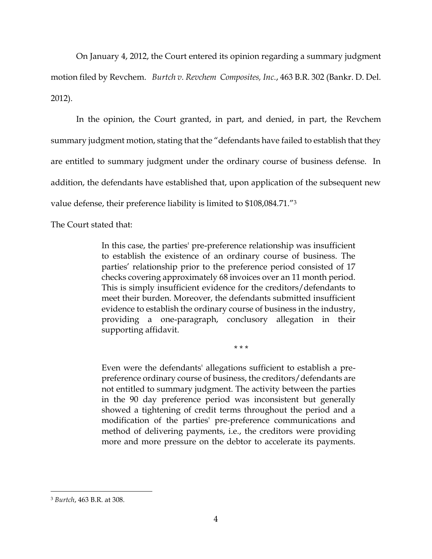On January 4, 2012, the Court entered its opinion regarding a summary judgment motion filed by Revchem. *Burtch v. Revchem Composites, Inc.*, 463 B.R. 302 (Bankr. D. Del. 2012).

In the opinion, the Court granted, in part, and denied, in part, the Revchem summary judgment motion, stating that the "defendants have failed to establish that they are entitled to summary judgment under the ordinary course of business defense. In addition, the defendants have established that, upon application of the subsequent new value defense, their preference liability is limited to \$108,084.71."<sup>3</sup>

The Court stated that:

In this case, the parties' pre-preference relationship was insufficient to establish the existence of an ordinary course of business. The parties' relationship prior to the preference period consisted of 17 checks covering approximately 68 invoices over an 11 month period. This is simply insufficient evidence for the creditors/defendants to meet their burden. Moreover, the defendants submitted insufficient evidence to establish the ordinary course of business in the industry, providing a one-paragraph, conclusory allegation in their supporting affidavit.

\* \* \*

Even were the defendants' allegations sufficient to establish a prepreference ordinary course of business, the creditors/defendants are not entitled to summary judgment. The activity between the parties in the 90 day preference period was inconsistent but generally showed a tightening of credit terms throughout the period and a modification of the parties' pre-preference communications and method of delivering payments, i.e., the creditors were providing more and more pressure on the debtor to accelerate its payments.

<sup>3</sup> *Burtch*, 463 B.R. at 308.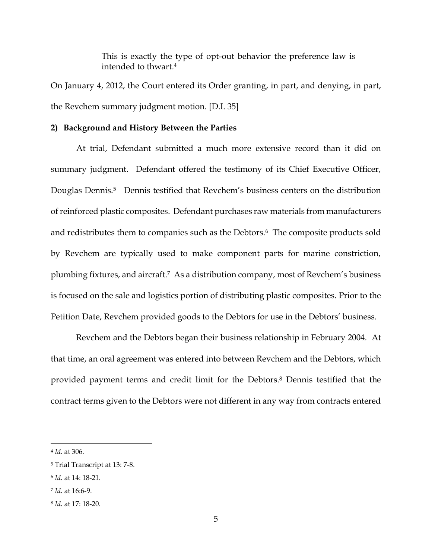This is exactly the type of opt-out behavior the preference law is intended to thwart.<sup>4</sup>

On January 4, 2012, the Court entered its Order granting, in part, and denying, in part, the Revchem summary judgment motion. [D.I. 35]

## **2) Background and History Between the Parties**

At trial, Defendant submitted a much more extensive record than it did on summary judgment. Defendant offered the testimony of its Chief Executive Officer, Douglas Dennis.<sup>5</sup> Dennis testified that Revchem's business centers on the distribution of reinforced plastic composites. Defendant purchases raw materials from manufacturers and redistributes them to companies such as the Debtors.<sup>6</sup> The composite products sold by Revchem are typically used to make component parts for marine constriction, plumbing fixtures, and aircraft.<sup>7</sup> As a distribution company, most of Revchem's business is focused on the sale and logistics portion of distributing plastic composites. Prior to the Petition Date, Revchem provided goods to the Debtors for use in the Debtors' business.

Revchem and the Debtors began their business relationship in February 2004. At that time, an oral agreement was entered into between Revchem and the Debtors, which provided payment terms and credit limit for the Debtors. <sup>8</sup> Dennis testified that the contract terms given to the Debtors were not different in any way from contracts entered

<sup>4</sup> *Id*. at 306.

<sup>5</sup> Trial Transcript at 13: 7-8.

<sup>6</sup> *Id.* at 14: 18-21.

<sup>7</sup> *Id.* at 16:6-9.

<sup>8</sup> *Id.* at 17: 18-20.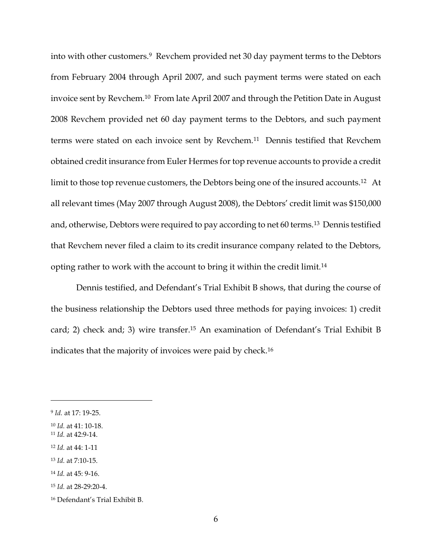into with other customers.<sup>9</sup> Revchem provided net 30 day payment terms to the Debtors from February 2004 through April 2007, and such payment terms were stated on each invoice sent by Revchem.<sup>10</sup> From late April 2007 and through the Petition Date in August 2008 Revchem provided net 60 day payment terms to the Debtors, and such payment terms were stated on each invoice sent by Revchem.11 Dennis testified that Revchem obtained credit insurance from Euler Hermes for top revenue accounts to provide a credit limit to those top revenue customers, the Debtors being one of the insured accounts.<sup>12</sup> At all relevant times (May 2007 through August 2008), the Debtors' credit limit was \$150,000 and, otherwise, Debtors were required to pay according to net 60 terms.13 Dennis testified that Revchem never filed a claim to its credit insurance company related to the Debtors, opting rather to work with the account to bring it within the credit limit.<sup>14</sup>

Dennis testified, and Defendant's Trial Exhibit B shows, that during the course of the business relationship the Debtors used three methods for paying invoices: 1) credit card; 2) check and; 3) wire transfer.<sup>15</sup> An examination of Defendant's Trial Exhibit B indicates that the majority of invoices were paid by check.<sup>16</sup>

<sup>9</sup> *Id.* at 17: 19-25.

<sup>10</sup> *Id.* at 41: 10-18.

<sup>11</sup> *Id.* at 42:9-14.

<sup>12</sup> *Id.* at 44: 1-11

<sup>13</sup> *Id.* at 7:10-15.

<sup>14</sup> *Id.* at 45: 9-16.

<sup>15</sup> *Id.* at 28-29:20-4.

<sup>16</sup> Defendant's Trial Exhibit B.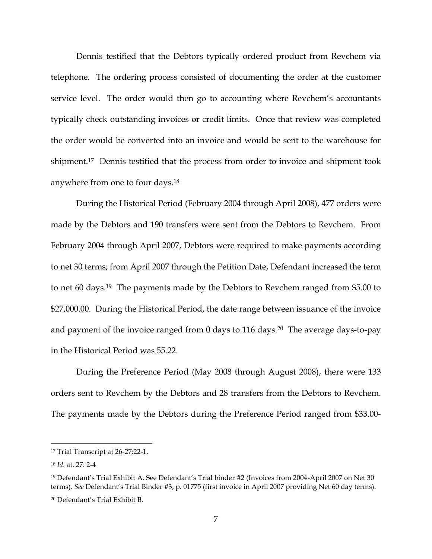Dennis testified that the Debtors typically ordered product from Revchem via telephone. The ordering process consisted of documenting the order at the customer service level. The order would then go to accounting where Revchem's accountants typically check outstanding invoices or credit limits. Once that review was completed the order would be converted into an invoice and would be sent to the warehouse for shipment.17 Dennis testified that the process from order to invoice and shipment took anywhere from one to four days.<sup>18</sup>

During the Historical Period (February 2004 through April 2008), 477 orders were made by the Debtors and 190 transfers were sent from the Debtors to Revchem. From February 2004 through April 2007, Debtors were required to make payments according to net 30 terms; from April 2007 through the Petition Date, Defendant increased the term to net 60 days. <sup>19</sup> The payments made by the Debtors to Revchem ranged from \$5.00 to \$27,000.00. During the Historical Period, the date range between issuance of the invoice and payment of the invoice ranged from 0 days to 116 days.<sup>20</sup> The average days-to-pay in the Historical Period was 55.22.

During the Preference Period (May 2008 through August 2008), there were 133 orders sent to Revchem by the Debtors and 28 transfers from the Debtors to Revchem. The payments made by the Debtors during the Preference Period ranged from \$33.00-

 $\overline{\phantom{a}}$ 

7

<sup>17</sup> Trial Transcript at 26-27:22-1.

<sup>18</sup> *Id.* at. 27: 2-4

<sup>19</sup> Defendant's Trial Exhibit A. See Defendant's Trial binder #2 (Invoices from 2004-April 2007 on Net 30 terms). *See* Defendant's Trial Binder #3, p. 01775 (first invoice in April 2007 providing Net 60 day terms). <sup>20</sup> Defendant's Trial Exhibit B.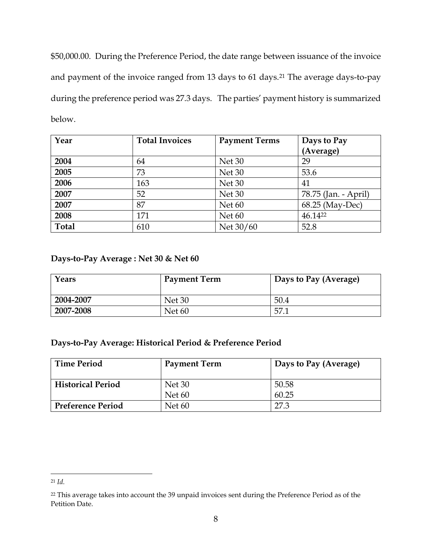\$50,000.00. During the Preference Period, the date range between issuance of the invoice and payment of the invoice ranged from 13 days to 61 days.<sup>21</sup> The average days-to-pay during the preference period was 27.3 days. The parties' payment history is summarized below.

| Year         | <b>Total Invoices</b> | <b>Payment Terms</b><br>Days to Pay |                      |
|--------------|-----------------------|-------------------------------------|----------------------|
|              |                       |                                     | (Average)            |
| 2004         | 64                    | Net 30                              | 29                   |
| 2005         | 73                    | Net 30                              | 53.6                 |
| 2006         | 163                   | Net 30                              | 41                   |
| 2007         | 52                    | Net 30                              | 78.75 (Jan. - April) |
| 2007         | 87                    | Net <sub>60</sub>                   | 68.25 (May-Dec)      |
| 2008         | 171                   | Net <sub>60</sub>                   | 46.1422              |
| <b>Total</b> | 610                   | Net 30/60                           | 52.8                 |

# **Days-to-Pay Average : Net 30 & Net 60**

| Years     | <b>Payment Term</b> | Days to Pay (Average) |
|-----------|---------------------|-----------------------|
| 2004-2007 | Net 30              | 50.4                  |
| 2007-2008 | Net <sub>60</sub>   | 57.1                  |

# **Days-to-Pay Average: Historical Period & Preference Period**

| <b>Time Period</b>       | <b>Payment Term</b> | Days to Pay (Average) |
|--------------------------|---------------------|-----------------------|
| <b>Historical Period</b> | Net 30              | 50.58                 |
|                          | Net <sub>60</sub>   | 60.25                 |
| <b>Preference Period</b> | Net $60$            | 27.3                  |

<sup>21</sup> *Id.*

<sup>&</sup>lt;sup>22</sup> This average takes into account the 39 unpaid invoices sent during the Preference Period as of the Petition Date.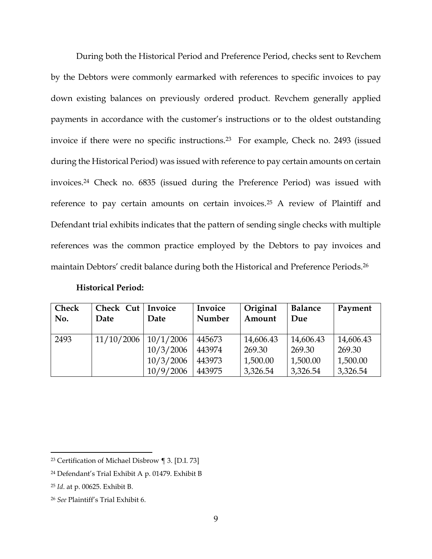During both the Historical Period and Preference Period, checks sent to Revchem by the Debtors were commonly earmarked with references to specific invoices to pay down existing balances on previously ordered product. Revchem generally applied payments in accordance with the customer's instructions or to the oldest outstanding invoice if there were no specific instructions.<sup>23</sup> For example, Check no. 2493 (issued during the Historical Period) was issued with reference to pay certain amounts on certain invoices.<sup>24</sup> Check no. 6835 (issued during the Preference Period) was issued with reference to pay certain amounts on certain invoices.<sup>25</sup> A review of Plaintiff and Defendant trial exhibits indicates that the pattern of sending single checks with multiple references was the common practice employed by the Debtors to pay invoices and maintain Debtors' credit balance during both the Historical and Preference Periods. 26

| <b>Check</b><br>No. | Check Cut   Invoice<br>Date | Date      | Invoice<br>Number | Original<br>Amount | <b>Balance</b><br>Due | Payment   |
|---------------------|-----------------------------|-----------|-------------------|--------------------|-----------------------|-----------|
| 2493                | 11/10/2006                  | 10/1/2006 | 445673            | 14,606.43          | 14,606.43             | 14,606.43 |
|                     |                             | 10/3/2006 | 443974            | 269.30             | 269.30                | 269.30    |
|                     |                             | 10/3/2006 | 443973            | 1,500.00           | 1,500.00              | 1,500.00  |
|                     |                             | 10/9/2006 | 443975            | 3,326.54           | 3,326.54              | 3,326.54  |

## **Historical Period:**

<sup>23</sup> Certification of Michael Disbrow ¶ 3. [D.I. 73]

<sup>24</sup> Defendant's Trial Exhibit A p. 01479. Exhibit B

<sup>25</sup> *Id*. at p. 00625. Exhibit B.

<sup>26</sup> *See* Plaintiff's Trial Exhibit 6.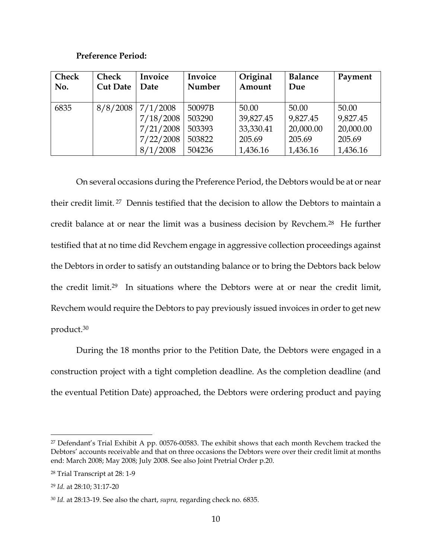# **Preference Period:**

| <b>Check</b> | <b>Check</b>    | Invoice   | Invoice | Original  | <b>Balance</b> | Payment   |
|--------------|-----------------|-----------|---------|-----------|----------------|-----------|
| No.          | <b>Cut Date</b> | Date      | Number  | Amount    | Due            |           |
|              |                 |           |         |           |                |           |
| 6835         | 8/8/2008        | 7/1/2008  | 50097B  | 50.00     | 50.00          | 50.00     |
|              |                 | 7/18/2008 | 503290  | 39,827.45 | 9,827.45       | 9,827.45  |
|              |                 | 7/21/2008 | 503393  | 33,330.41 | 20,000.00      | 20,000.00 |
|              |                 | 7/22/2008 | 503822  | 205.69    | 205.69         | 205.69    |
|              |                 | 8/1/2008  | 504236  | 1,436.16  | 1,436.16       | 1,436.16  |

On several occasions during the Preference Period, the Debtors would be at or near their credit limit. <sup>27</sup> Dennis testified that the decision to allow the Debtors to maintain a credit balance at or near the limit was a business decision by Revchem. <sup>28</sup> He further testified that at no time did Revchem engage in aggressive collection proceedings against the Debtors in order to satisfy an outstanding balance or to bring the Debtors back below the credit limit.<sup>29</sup> In situations where the Debtors were at or near the credit limit, Revchem would require the Debtors to pay previously issued invoices in order to get new product.<sup>30</sup>

During the 18 months prior to the Petition Date, the Debtors were engaged in a construction project with a tight completion deadline. As the completion deadline (and the eventual Petition Date) approached, the Debtors were ordering product and paying

<sup>27</sup> Defendant's Trial Exhibit A pp. 00576-00583. The exhibit shows that each month Revchem tracked the Debtors' accounts receivable and that on three occasions the Debtors were over their credit limit at months end: March 2008; May 2008; July 2008. See also Joint Pretrial Order p.20.

<sup>28</sup> Trial Transcript at 28: 1-9

<sup>29</sup> *Id.* at 28:10; 31:17-20

<sup>30</sup> *Id.* at 28:13-19. See also the chart, *supra,* regarding check no. 6835.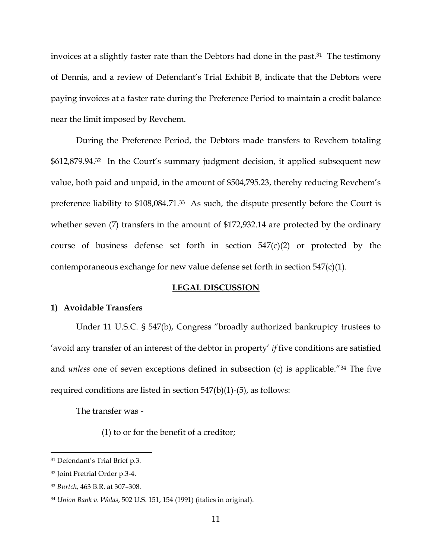invoices at a slightly faster rate than the Debtors had done in the past.<sup>31</sup> The testimony of Dennis, and a review of Defendant's Trial Exhibit B, indicate that the Debtors were paying invoices at a faster rate during the Preference Period to maintain a credit balance near the limit imposed by Revchem.

During the Preference Period, the Debtors made transfers to Revchem totaling \$612,879.94.<sup>32</sup> In the Court's summary judgment decision, it applied subsequent new value, both paid and unpaid, in the amount of \$504,795.23, thereby reducing Revchem's preference liability to \$108,084.71.33 As such, the dispute presently before the Court is whether seven (7) transfers in the amount of \$172,932.14 are protected by the ordinary course of business defense set forth in section  $547(c)(2)$  or protected by the contemporaneous exchange for new value defense set forth in section 547(c)(1).

#### **LEGAL DISCUSSION**

## **1) Avoidable Transfers**

Under 11 U.S.C. § 547(b), Congress "broadly authorized bankruptcy trustees to 'avoid any transfer of an interest of the debtor in property' *if* five conditions are satisfied and *unless* one of seven exceptions defined in subsection (c) is applicable."<sup>34</sup> The five required conditions are listed in section 547(b)(1)-(5), as follows:

The transfer was -

(1) to or for the benefit of a creditor;

<sup>31</sup> Defendant's Trial Brief p.3.

<sup>32</sup> Joint Pretrial Order p.3-4.

<sup>33</sup> *Burtch,* 463 B.R. at 307–308.

<sup>34</sup> *Union Bank v. Wolas*, 502 U.S. 151, 154 (1991) (italics in original).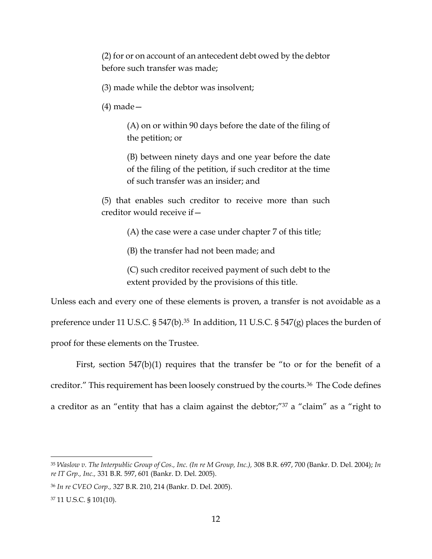(2) for or on account of an antecedent debt owed by the debtor before such transfer was made;

(3) made while the debtor was insolvent;

(4) made—

(A) on or within 90 days before the date of the filing of the petition; or

(B) between ninety days and one year before the date of the filing of the petition, if such creditor at the time of such transfer was an insider; and

(5) that enables such creditor to receive more than such creditor would receive if—

(A) the case were a case under chapter 7 of this title;

(B) the transfer had not been made; and

(C) such creditor received payment of such debt to the extent provided by the provisions of this title.

Unless each and every one of these elements is proven, a transfer is not avoidable as a preference under 11 U.S.C. § 547(b).<sup>35</sup> In addition, 11 U.S.C. § 547(g) places the burden of proof for these elements on the Trustee.

First, section 547(b)(1) requires that the transfer be "to or for the benefit of a creditor." This requirement has been loosely construed by the courts.<sup>36</sup> The Code defines a creditor as an "entity that has a claim against the debtor;"<sup>37</sup> a "claim" as a "right to

<sup>35</sup> *Waslow v. The Interpublic Group of Cos., Inc. (In re M Group, Inc.),* 308 B.R. 697, 700 (Bankr. D. Del. 2004); *In re IT Grp., Inc.,* 331 B.R. 597, 601 (Bankr. D. Del. 2005).

<sup>36</sup> *In re CVEO Corp.,* 327 B.R. 210, 214 (Bankr. D. Del. 2005).

<sup>37</sup> 11 U.S.C. § 101(10).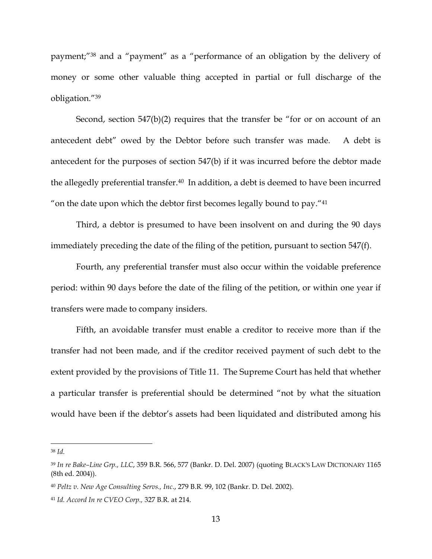payment;" <sup>38</sup> and a "payment" as a "performance of an obligation by the delivery of money or some other valuable thing accepted in partial or full discharge of the obligation."<sup>39</sup>

Second, section 547(b)(2) requires that the transfer be "for or on account of an antecedent debt" owed by the Debtor before such transfer was made. A debt is antecedent for the purposes of section 547(b) if it was incurred before the debtor made the allegedly preferential transfer.<sup>40</sup> In addition, a debt is deemed to have been incurred " on the date upon which the debtor first becomes legally bound to pay." 41

Third, a debtor is presumed to have been insolvent on and during the 90 days immediately preceding the date of the filing of the petition, pursuant to section 547(f).

Fourth, any preferential transfer must also occur within the voidable preference period: within 90 days before the date of the filing of the petition, or within one year if transfers were made to company insiders.

Fifth, an avoidable transfer must enable a creditor to receive more than if the transfer had not been made, and if the creditor received payment of such debt to the extent provided by the provisions of Title 11. The Supreme Court has held that whether a particular transfer is preferential should be determined "not by what the situation would have been if the debtor's assets had been liquidated and distributed among his

<sup>38</sup> *Id.*

<sup>39</sup> *In re Bake–Line Grp., LLC*, 359 B.R. 566, 577 (Bankr. D. Del. 2007) (quoting BLACK'S LAW DICTIONARY 1165 (8th ed. 2004)).

<sup>40</sup> *Peltz v. New Age Consulting Servs., Inc*., 279 B.R. 99, 102 (Bankr. D. Del. 2002).

<sup>41</sup> *Id. Accord In re CVEO Corp.,* 327 B.R. at 214.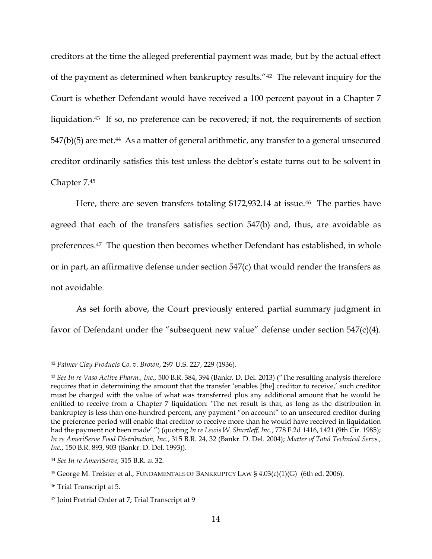creditors at the time the alleged preferential payment was made, but by the actual effect of the payment as determined when bankruptcy results."42 The relevant inquiry for the Court is whether Defendant would have received a 100 percent payout in a Chapter 7 liquidation.<sup>43</sup> If so, no preference can be recovered; if not, the requirements of section  $547(b)(5)$  are met.<sup>44</sup> As a matter of general arithmetic, any transfer to a general unsecured creditor ordinarily satisfies this test unless the debtor's estate turns out to be solvent in Chapter 7.<sup>45</sup>

Here, there are seven transfers totaling \$172,932.14 at issue.<sup>46</sup> The parties have agreed that each of the transfers satisfies section 547(b) and, thus, are avoidable as preferences.47 The question then becomes whether Defendant has established, in whole or in part, an affirmative defense under section 547(c) that would render the transfers as not avoidable.

As set forth above, the Court previously entered partial summary judgment in favor of Defendant under the "subsequent new value" defense under section 547(c)(4).

<sup>42</sup> *Palmer Clay Products Co. v. Brown*, 297 U.S. 227, 229 (1936).

<sup>43</sup> *See In re Vaso Active Pharm., Inc.,* 500 B.R. 384, 394 (Bankr. D. Del. 2013) ("The resulting analysis therefore requires that in determining the amount that the transfer 'enables [the] creditor to receive,' such creditor must be charged with the value of what was transferred plus any additional amount that he would be entitled to receive from a Chapter 7 liquidation: 'The net result is that, as long as the distribution in bankruptcy is less than one-hundred percent, any payment "on account" to an unsecured creditor during the preference period will enable that creditor to receive more than he would have received in liquidation had the payment not been made'.") (quoting *In re Lewis W. Shurtleff, Inc.*, 778 F.2d 1416, 1421 (9th Cir. 1985); *In re AmeriServe Food Distribution, Inc.*, 315 B.R. 24, 32 (Bankr. D. Del. 2004); *Matter of Total Technical Servs., Inc.*, 150 B.R. 893, 903 (Bankr. D. Del. 1993)).

<sup>44</sup> *See In re AmeriServe,* 315 B.R. at 32.

<sup>45</sup> George M. Treister et al., FUNDAMENTALS OF BANKRUPTCY LAW § 4.03(c)(1)(G) (6th ed. 2006).

<sup>46</sup> Trial Transcript at 5.

<sup>47</sup> Joint Pretrial Order at 7; Trial Transcript at 9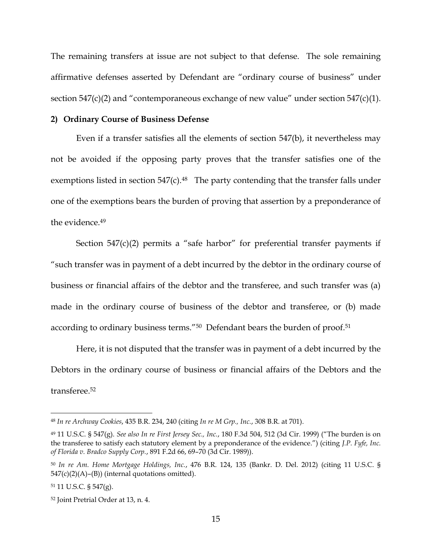The remaining transfers at issue are not subject to that defense. The sole remaining affirmative defenses asserted by Defendant are "ordinary course of business" under section  $547(c)(2)$  and "contemporaneous exchange of new value" under section  $547(c)(1)$ .

#### **2) Ordinary Course of Business Defense**

Even if a transfer satisfies all the elements of section 547(b), it nevertheless may not be avoided if the opposing party proves that the transfer satisfies one of the exemptions listed in section 547(c).<sup>48</sup> The party contending that the transfer falls under one of the exemptions bears the burden of proving that assertion by a preponderance of the evidence.<sup>49</sup>

Section  $547(c)(2)$  permits a "safe harbor" for preferential transfer payments if "such transfer was in payment of a debt incurred by the debtor in the ordinary course of business or financial affairs of the debtor and the transferee, and such transfer was (a) made in the ordinary course of business of the debtor and transferee, or (b) made according to ordinary business terms."50 Defendant bears the burden of proof.<sup>51</sup>

Here, it is not disputed that the transfer was in payment of a debt incurred by the Debtors in the ordinary course of business or financial affairs of the Debtors and the transferee<sup>52</sup>

<sup>48</sup> *In re Archway Cookies*, 435 B.R. 234, 240 (citing *In re M Grp., Inc.*, 308 B.R. at 701).

<sup>49</sup> 11 U.S.C. § 547(g). *See also In re First Jersey Sec., Inc.*, 180 F.3d 504, 512 (3d Cir. 1999) ("The burden is on the transferee to satisfy each statutory element by a preponderance of the evidence.") (citing *J.P. Fyfe, Inc. of Florida v. Bradco Supply Corp.*, 891 F.2d 66, 69–70 (3d Cir. 1989)).

<sup>50</sup> *In re Am. Home Mortgage Holdings, Inc.*, 476 B.R. 124, 135 (Bankr. D. Del. 2012) (citing 11 U.S.C. §  $547(c)(2)(A)$ – $(B)$ ) (internal quotations omitted).

<sup>51</sup> 11 U.S.C. § 547(g).

<sup>52</sup> Joint Pretrial Order at 13, n. 4.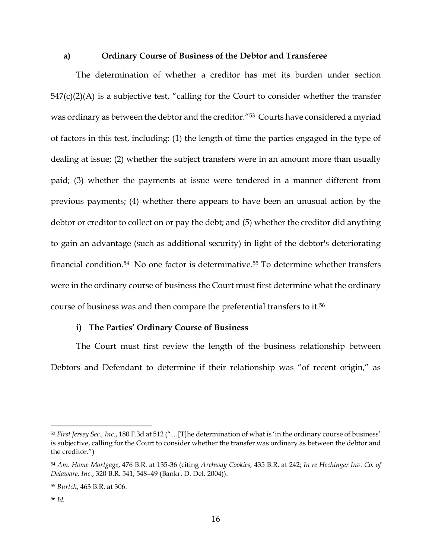#### **a) Ordinary Course of Business of the Debtor and Transferee**

The determination of whether a creditor has met its burden under section  $547(c)(2)(A)$  is a subjective test, "calling for the Court to consider whether the transfer was ordinary as between the debtor and the creditor."53 Courts have considered a myriad of factors in this test, including: (1) the length of time the parties engaged in the type of dealing at issue; (2) whether the subject transfers were in an amount more than usually paid; (3) whether the payments at issue were tendered in a manner different from previous payments; (4) whether there appears to have been an unusual action by the debtor or creditor to collect on or pay the debt; and (5) whether the creditor did anything to gain an advantage (such as additional security) in light of the debtor's deteriorating financial condition.<sup>54</sup> No one factor is determinative.<sup>55</sup> To determine whether transfers were in the ordinary course of business the Court must first determine what the ordinary course of business was and then compare the preferential transfers to it.<sup>56</sup>

### **i) The Parties' Ordinary Course of Business**

The Court must first review the length of the business relationship between Debtors and Defendant to determine if their relationship was "of recent origin," as

<sup>53</sup> *First Jersey Sec., Inc.*, 180 F.3d at 512 ("…[T]he determination of what is 'in the ordinary course of business' is subjective, calling for the Court to consider whether the transfer was ordinary as between the debtor and the creditor.")

<sup>54</sup> *Am. Home Mortgage*, 476 B.R. at 135-36 (citing *Archway Cookies,* 435 B.R. at 242; *In re Hechinger Inv. Co. of Delaware, Inc.*, 320 B.R. 541, 548–49 (Bankr. D. Del. 2004)).

<sup>55</sup> *Burtch*, 463 B.R. at 306.

<sup>56</sup> *Id.*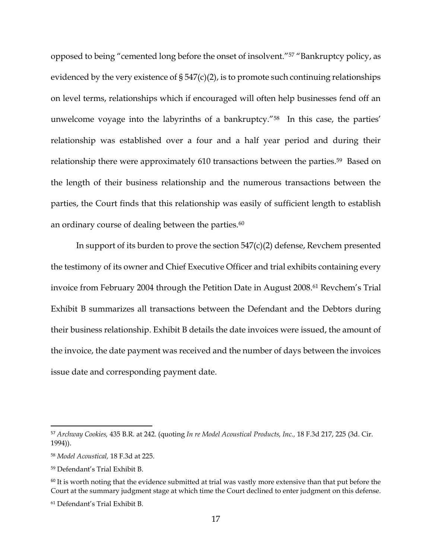opposed to being "cemented long before the onset of insolvent."<sup>57</sup> "Bankruptcy policy, as evidenced by the very existence of  $\S 547(c)(2)$ , is to promote such continuing relationships on level terms, relationships which if encouraged will often help businesses fend off an unwelcome voyage into the labyrinths of a bankruptcy."<sup>58</sup> In this case, the parties' relationship was established over a four and a half year period and during their relationship there were approximately 610 transactions between the parties.<sup>59</sup> Based on the length of their business relationship and the numerous transactions between the parties, the Court finds that this relationship was easily of sufficient length to establish an ordinary course of dealing between the parties.<sup>60</sup>

In support of its burden to prove the section 547(c)(2) defense, Revchem presented the testimony of its owner and Chief Executive Officer and trial exhibits containing every invoice from February 2004 through the Petition Date in August 2008.<sup>61</sup> Revchem's Trial Exhibit B summarizes all transactions between the Defendant and the Debtors during their business relationship. Exhibit B details the date invoices were issued, the amount of the invoice, the date payment was received and the number of days between the invoices issue date and corresponding payment date.

<sup>57</sup> *Archway Cookies,* 435 B.R. at 242. (quoting *In re Model Acoustical Products, Inc.,* 18 F.3d 217, 225 (3d. Cir. 1994)).

<sup>58</sup> *Model Acoustical,* 18 F.3d at 225.

<sup>59</sup> Defendant's Trial Exhibit B.

 $60$  It is worth noting that the evidence submitted at trial was vastly more extensive than that put before the Court at the summary judgment stage at which time the Court declined to enter judgment on this defense.

<sup>61</sup> Defendant's Trial Exhibit B.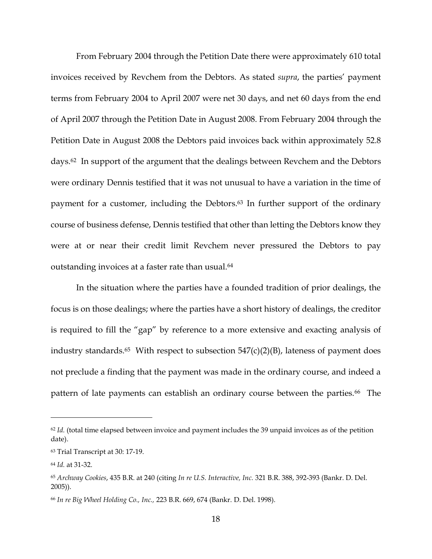From February 2004 through the Petition Date there were approximately 610 total invoices received by Revchem from the Debtors. As stated *supra*, the parties' payment terms from February 2004 to April 2007 were net 30 days, and net 60 days from the end of April 2007 through the Petition Date in August 2008. From February 2004 through the Petition Date in August 2008 the Debtors paid invoices back within approximately 52.8 days.<sup>62</sup> In support of the argument that the dealings between Revchem and the Debtors were ordinary Dennis testified that it was not unusual to have a variation in the time of payment for a customer, including the Debtors. <sup>63</sup> In further support of the ordinary course of business defense, Dennis testified that other than letting the Debtors know they were at or near their credit limit Revchem never pressured the Debtors to pay outstanding invoices at a faster rate than usual.<sup>64</sup>

In the situation where the parties have a founded tradition of prior dealings, the focus is on those dealings; where the parties have a short history of dealings, the creditor is required to fill the "gap" by reference to a more extensive and exacting analysis of industry standards.<sup>65</sup> With respect to subsection  $547(c)(2)(B)$ , lateness of payment does not preclude a finding that the payment was made in the ordinary course, and indeed a pattern of late payments can establish an ordinary course between the parties.<sup>66</sup> The

<sup>&</sup>lt;sup>62</sup> *Id.* (total time elapsed between invoice and payment includes the 39 unpaid invoices as of the petition date).

<sup>63</sup> Trial Transcript at 30: 17-19.

<sup>64</sup> *Id.* at 31-32.

<sup>65</sup> *Archway Cookies*, 435 B.R. at 240 (citing *In re U.S. Interactive, Inc.* 321 B.R. 388, 392-393 (Bankr. D. Del. 2005)).

<sup>66</sup> *In re Big Wheel Holding Co., Inc.,* 223 B.R. 669, 674 (Bankr. D. Del. 1998).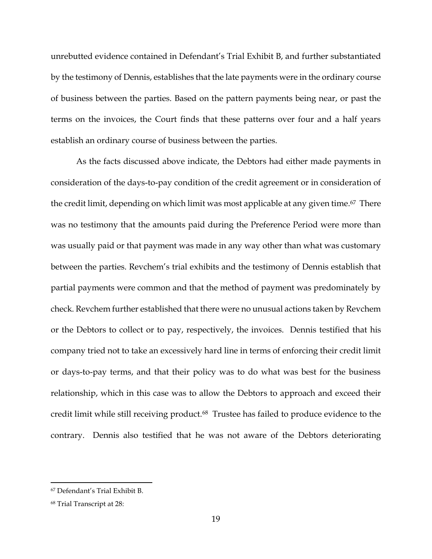unrebutted evidence contained in Defendant's Trial Exhibit B, and further substantiated by the testimony of Dennis, establishes that the late payments were in the ordinary course of business between the parties. Based on the pattern payments being near, or past the terms on the invoices, the Court finds that these patterns over four and a half years establish an ordinary course of business between the parties.

As the facts discussed above indicate, the Debtors had either made payments in consideration of the days-to-pay condition of the credit agreement or in consideration of the credit limit, depending on which limit was most applicable at any given time. <sup>67</sup> There was no testimony that the amounts paid during the Preference Period were more than was usually paid or that payment was made in any way other than what was customary between the parties. Revchem's trial exhibits and the testimony of Dennis establish that partial payments were common and that the method of payment was predominately by check. Revchem further established that there were no unusual actions taken by Revchem or the Debtors to collect or to pay, respectively, the invoices. Dennis testified that his company tried not to take an excessively hard line in terms of enforcing their credit limit or days-to-pay terms, and that their policy was to do what was best for the business relationship, which in this case was to allow the Debtors to approach and exceed their credit limit while still receiving product.68 Trustee has failed to produce evidence to the contrary. Dennis also testified that he was not aware of the Debtors deteriorating

<sup>67</sup> Defendant's Trial Exhibit B.

<sup>68</sup> Trial Transcript at 28: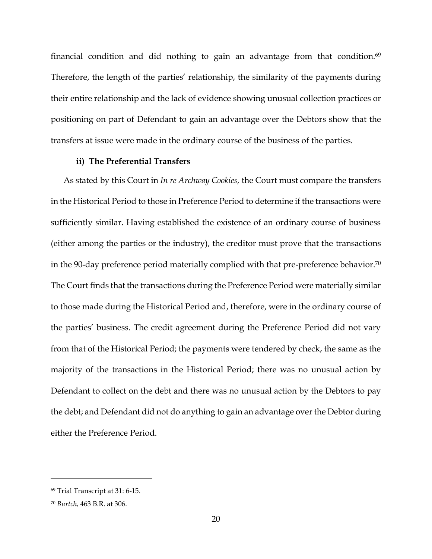financial condition and did nothing to gain an advantage from that condition.<sup>69</sup> Therefore, the length of the parties' relationship, the similarity of the payments during their entire relationship and the lack of evidence showing unusual collection practices or positioning on part of Defendant to gain an advantage over the Debtors show that the transfers at issue were made in the ordinary course of the business of the parties.

## **ii) The Preferential Transfers**

As stated by this Court in *In re Archway Cookies,* the Court must compare the transfers in the Historical Period to those in Preference Period to determine if the transactions were sufficiently similar. Having established the existence of an ordinary course of business (either among the parties or the industry), the creditor must prove that the transactions in the 90-day preference period materially complied with that pre-preference behavior.<sup>70</sup> The Court finds that the transactions during the Preference Period were materially similar to those made during the Historical Period and, therefore, were in the ordinary course of the parties' business. The credit agreement during the Preference Period did not vary from that of the Historical Period; the payments were tendered by check, the same as the majority of the transactions in the Historical Period; there was no unusual action by Defendant to collect on the debt and there was no unusual action by the Debtors to pay the debt; and Defendant did not do anything to gain an advantage over the Debtor during either the Preference Period.

<sup>69</sup> Trial Transcript at 31: 6-15.

<sup>70</sup> *Burtch,* 463 B.R. at 306.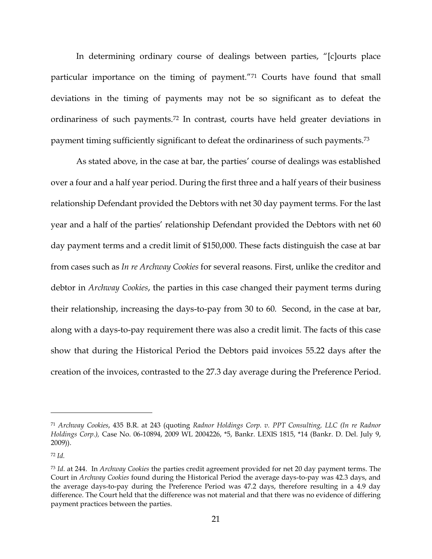In determining ordinary course of dealings between parties, "[c]ourts place particular importance on the timing of payment."<sup>71</sup> Courts have found that small deviations in the timing of payments may not be so significant as to defeat the ordinariness of such payments.<sup>72</sup> In contrast, courts have held greater deviations in payment timing sufficiently significant to defeat the ordinariness of such payments.<sup>73</sup>

As stated above, in the case at bar, the parties' course of dealings was established over a four and a half year period. During the first three and a half years of their business relationship Defendant provided the Debtors with net 30 day payment terms. For the last year and a half of the parties' relationship Defendant provided the Debtors with net 60 day payment terms and a credit limit of \$150,000. These facts distinguish the case at bar from cases such as *In re Archway Cookies* for several reasons. First, unlike the creditor and debtor in *Archway Cookies*, the parties in this case changed their payment terms during their relationship, increasing the days-to-pay from 30 to 60*.* Second, in the case at bar, along with a days-to-pay requirement there was also a credit limit. The facts of this case show that during the Historical Period the Debtors paid invoices 55.22 days after the creation of the invoices, contrasted to the 27.3 day average during the Preference Period.

<sup>71</sup> *Archway Cookies*, 435 B.R. at 243 (quoting *Radnor Holdings Corp. v. PPT Consulting, LLC (In re Radnor Holdings Corp.),* Case No. 06-10894, 2009 WL 2004226, \*5, Bankr. LEXIS 1815, \*14 (Bankr. D. Del. July 9, 2009)).

<sup>72</sup> *Id.*

<sup>73</sup> *Id.* at 244. In *Archway Cookies* the parties credit agreement provided for net 20 day payment terms. The Court in *Archway Cookies* found during the Historical Period the average days-to-pay was 42.3 days, and the average days-to-pay during the Preference Period was 47.2 days, therefore resulting in a 4.9 day difference. The Court held that the difference was not material and that there was no evidence of differing payment practices between the parties.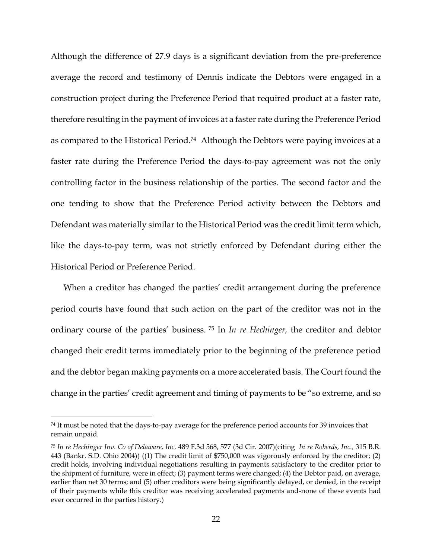Although the difference of 27.9 days is a significant deviation from the pre-preference average the record and testimony of Dennis indicate the Debtors were engaged in a construction project during the Preference Period that required product at a faster rate, therefore resulting in the payment of invoices at a faster rate during the Preference Period as compared to the Historical Period. <sup>74</sup> Although the Debtors were paying invoices at a faster rate during the Preference Period the days-to-pay agreement was not the only controlling factor in the business relationship of the parties. The second factor and the one tending to show that the Preference Period activity between the Debtors and Defendant was materially similar to the Historical Period was the credit limit term which, like the days-to-pay term, was not strictly enforced by Defendant during either the Historical Period or Preference Period.

When a creditor has changed the parties' credit arrangement during the preference period courts have found that such action on the part of the creditor was not in the ordinary course of the parties' business. <sup>75</sup> In *In re Hechinger,* the creditor and debtor changed their credit terms immediately prior to the beginning of the preference period and the debtor began making payments on a more accelerated basis. The Court found the change in the parties' credit agreement and timing of payments to be "so extreme, and so

<sup>74</sup> It must be noted that the days-to-pay average for the preference period accounts for 39 invoices that remain unpaid.

<sup>75</sup> *In re Hechinger Inv. Co of Delaware, Inc.* 489 F.3d 568, 577 (3d Cir. 2007)(citing *In re Roberds, Inc.,* 315 B.R. 443 (Bankr. S.D. Ohio 2004)) ((1) The credit limit of \$750,000 was vigorously enforced by the creditor; (2) credit holds, involving individual negotiations resulting in payments satisfactory to the creditor prior to the shipment of furniture, were in effect; (3) payment terms were changed; (4) the Debtor paid, on average, earlier than net 30 terms; and (5) other creditors were being significantly delayed, or denied, in the receipt of their payments while this creditor was receiving accelerated payments and-none of these events had ever occurred in the parties history.)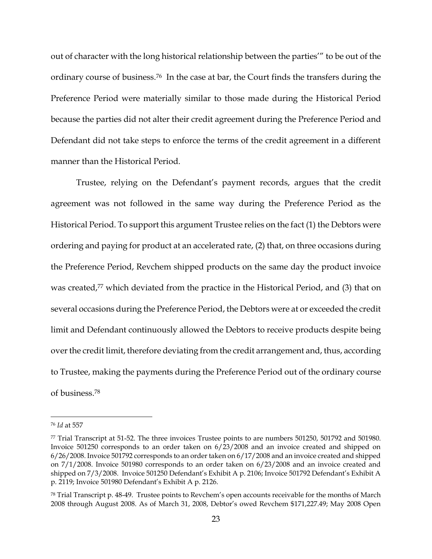out of character with the long historical relationship between the parties'" to be out of the ordinary course of business.76 In the case at bar, the Court finds the transfers during the Preference Period were materially similar to those made during the Historical Period because the parties did not alter their credit agreement during the Preference Period and Defendant did not take steps to enforce the terms of the credit agreement in a different manner than the Historical Period.

Trustee, relying on the Defendant's payment records, argues that the credit agreement was not followed in the same way during the Preference Period as the Historical Period. To support this argument Trustee relies on the fact (1) the Debtors were ordering and paying for product at an accelerated rate, (2) that, on three occasions during the Preference Period, Revchem shipped products on the same day the product invoice was created, <sup>77</sup> which deviated from the practice in the Historical Period, and (3) that on several occasions during the Preference Period, the Debtors were at or exceeded the credit limit and Defendant continuously allowed the Debtors to receive products despite being over the credit limit, therefore deviating from the credit arrangement and, thus, according to Trustee, making the payments during the Preference Period out of the ordinary course of business. 78

<sup>76</sup> *Id* at 557

<sup>77</sup> Trial Transcript at 51-52. The three invoices Trustee points to are numbers 501250, 501792 and 501980. Invoice 501250 corresponds to an order taken on 6/23/2008 and an invoice created and shipped on 6/26/2008. Invoice 501792 corresponds to an order taken on 6/17/2008 and an invoice created and shipped on 7/1/2008. Invoice 501980 corresponds to an order taken on 6/23/2008 and an invoice created and shipped on 7/3/2008. Invoice 501250 Defendant's Exhibit A p. 2106; Invoice 501792 Defendant's Exhibit A p. 2119; Invoice 501980 Defendant's Exhibit A p. 2126.

<sup>78</sup> Trial Transcript p. 48-49. Trustee points to Revchem's open accounts receivable for the months of March 2008 through August 2008. As of March 31, 2008, Debtor's owed Revchem \$171,227.49; May 2008 Open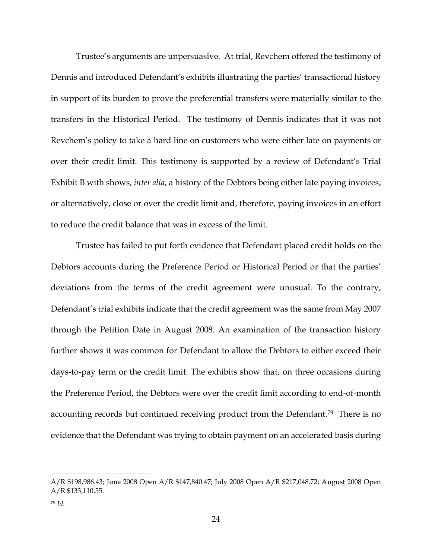Trustee's arguments are unpersuasive. At trial, Revchem offered the testimony of Dennis and introduced Defendant's exhibits illustrating the parties' transactional history in support of its burden to prove the preferential transfers were materially similar to the transfers in the Historical Period. The testimony of Dennis indicates that it was not Revchem's policy to take a hard line on customers who were either late on payments or over their credit limit. This testimony is supported by a review of Defendant's Trial Exhibit B with shows, *inter alia*, a history of the Debtors being either late paying invoices, or alternatively, close or over the credit limit and, therefore, paying invoices in an effort to reduce the credit balance that was in excess of the limit.

Trustee has failed to put forth evidence that Defendant placed credit holds on the Debtors accounts during the Preference Period or Historical Period or that the parties' deviations from the terms of the credit agreement were unusual. To the contrary, Defendant's trial exhibits indicate that the credit agreement was the same from May 2007 through the Petition Date in August 2008. An examination of the transaction history further shows it was common for Defendant to allow the Debtors to either exceed their days-to-pay term or the credit limit. The exhibits show that, on three occasions during the Preference Period, the Debtors were over the credit limit according to end-of-month accounting records but continued receiving product from the Defendant.<sup>79</sup> There is no evidence that the Defendant was trying to obtain payment on an accelerated basis during

A/R \$198,986.43; June 2008 Open A/R \$147,840.47; July 2008 Open A/R \$217,048.72; August 2008 Open A/R \$133,110.55.

<sup>79</sup> *Id.*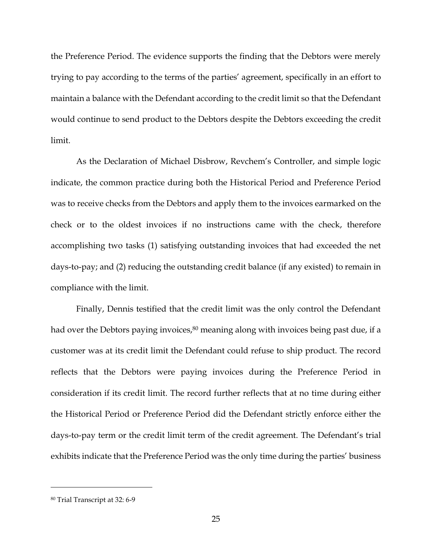the Preference Period. The evidence supports the finding that the Debtors were merely trying to pay according to the terms of the parties' agreement, specifically in an effort to maintain a balance with the Defendant according to the credit limit so that the Defendant would continue to send product to the Debtors despite the Debtors exceeding the credit limit.

As the Declaration of Michael Disbrow, Revchem's Controller, and simple logic indicate, the common practice during both the Historical Period and Preference Period was to receive checks from the Debtors and apply them to the invoices earmarked on the check or to the oldest invoices if no instructions came with the check, therefore accomplishing two tasks (1) satisfying outstanding invoices that had exceeded the net days-to-pay; and (2) reducing the outstanding credit balance (if any existed) to remain in compliance with the limit.

Finally, Dennis testified that the credit limit was the only control the Defendant had over the Debtors paying invoices, <sup>80</sup> meaning along with invoices being past due, if a customer was at its credit limit the Defendant could refuse to ship product. The record reflects that the Debtors were paying invoices during the Preference Period in consideration if its credit limit. The record further reflects that at no time during either the Historical Period or Preference Period did the Defendant strictly enforce either the days-to-pay term or the credit limit term of the credit agreement. The Defendant's trial exhibits indicate that the Preference Period was the only time during the parties' business

<sup>80</sup> Trial Transcript at 32: 6-9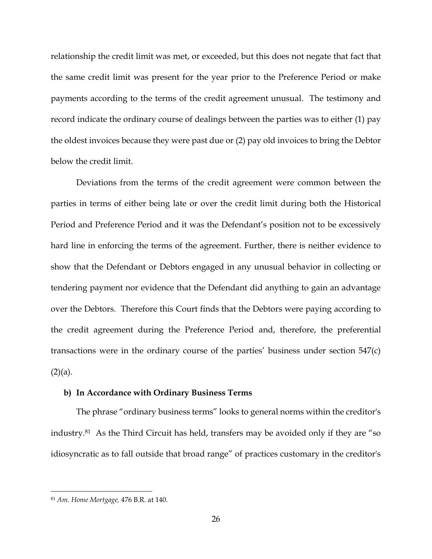relationship the credit limit was met, or exceeded, but this does not negate that fact that the same credit limit was present for the year prior to the Preference Period or make payments according to the terms of the credit agreement unusual. The testimony and record indicate the ordinary course of dealings between the parties was to either (1) pay the oldest invoices because they were past due or (2) pay old invoices to bring the Debtor below the credit limit.

Deviations from the terms of the credit agreement were common between the parties in terms of either being late or over the credit limit during both the Historical Period and Preference Period and it was the Defendant's position not to be excessively hard line in enforcing the terms of the agreement. Further, there is neither evidence to show that the Defendant or Debtors engaged in any unusual behavior in collecting or tendering payment nor evidence that the Defendant did anything to gain an advantage over the Debtors. Therefore this Court finds that the Debtors were paying according to the credit agreement during the Preference Period and, therefore, the preferential transactions were in the ordinary course of the parties' business under section 547(c)  $(2)(a)$ .

## **b) In Accordance with Ordinary Business Terms**

The phrase "ordinary business terms" looks to general norms within the creditor's industry.81 As the Third Circuit has held, transfers may be avoided only if they are "so idiosyncratic as to fall outside that broad range" of practices customary in the creditor's

<sup>81</sup> *Am. Home Mortgage,* 476 B.R. at 140.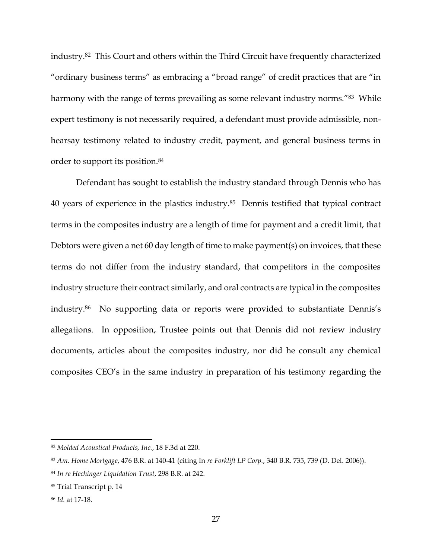industry.<sup>82</sup> This Court and others within the Third Circuit have frequently characterized "ordinary business terms" as embracing a "broad range" of credit practices that are "in harmony with the range of terms prevailing as some relevant industry norms."<sup>83</sup> While expert testimony is not necessarily required, a defendant must provide admissible, nonhearsay testimony related to industry credit, payment, and general business terms in order to support its position.<sup>84</sup>

Defendant has sought to establish the industry standard through Dennis who has 40 years of experience in the plastics industry.85 Dennis testified that typical contract terms in the composites industry are a length of time for payment and a credit limit, that Debtors were given a net 60 day length of time to make payment(s) on invoices, that these terms do not differ from the industry standard, that competitors in the composites industry structure their contract similarly, and oral contracts are typical in the composites industry. <sup>86</sup> No supporting data or reports were provided to substantiate Dennis's allegations. In opposition, Trustee points out that Dennis did not review industry documents, articles about the composites industry, nor did he consult any chemical composites CEO's in the same industry in preparation of his testimony regarding the

<sup>82</sup> *Molded Acoustical Products, Inc.*, 18 F.3d at 220.

<sup>83</sup> *Am. Home Mortgage*, 476 B.R. at 140-41 (citing In *re Forklift LP Corp.*, 340 B.R. 735, 739 (D. Del. 2006)).

<sup>84</sup> *In re Hechinger Liquidation Trust*, 298 B.R. at 242.

<sup>85</sup> Trial Transcript p. 14

<sup>86</sup> *Id.* at 17-18.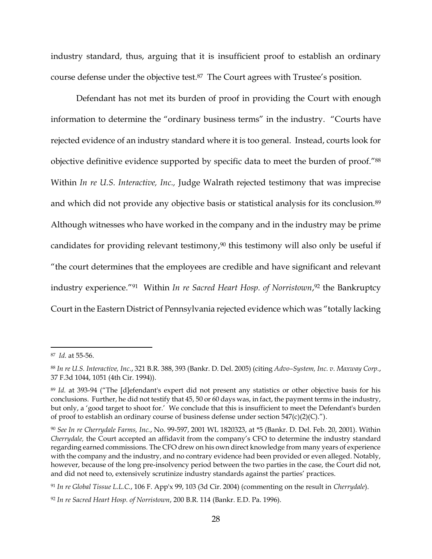industry standard, thus, arguing that it is insufficient proof to establish an ordinary course defense under the objective test.87 The Court agrees with Trustee's position.

Defendant has not met its burden of proof in providing the Court with enough information to determine the "ordinary business terms" in the industry. "Courts have rejected evidence of an industry standard where it is too general. Instead, courts look for objective definitive evidence supported by specific data to meet the burden of proof."<sup>88</sup> Within *In re U.S. Interactive, Inc.,* Judge Walrath rejected testimony that was imprecise and which did not provide any objective basis or statistical analysis for its conclusion.<sup>89</sup> Although witnesses who have worked in the company and in the industry may be prime candidates for providing relevant testimony, $90$  this testimony will also only be useful if "the court determines that the employees are credible and have significant and relevant industry experience."91 Within *In re Sacred Heart Hosp. of Norristown*, <sup>92</sup> the Bankruptcy Court in the Eastern District of Pennsylvania rejected evidence which was "totally lacking

<sup>87</sup> *Id.* at 55-56.

<sup>88</sup> *In re U.S. Interactive, Inc.*, 321 B.R. 388, 393 (Bankr. D. Del. 2005) (citing *Advo–System, Inc. v. Maxway Corp.*, 37 F.3d 1044, 1051 (4th Cir. 1994)).

<sup>89</sup> *Id.* at 393-94 ("The [d]efendant's expert did not present any statistics or other objective basis for his conclusions. Further, he did not testify that 45, 50 or 60 days was, in fact, the payment terms in the industry, but only, a 'good target to shoot for.' We conclude that this is insufficient to meet the Defendant's burden of proof to establish an ordinary course of business defense under section  $547(c)(2)(C)$ .").

<sup>90</sup> *See In re Cherrydale Farms, Inc.*, No. 99-597, 2001 WL 1820323, at \*5 (Bankr. D. Del. Feb. 20, 2001). Within *Cherrydale,* the Court accepted an affidavit from the company's CFO to determine the industry standard regarding earned commissions. The CFO drew on his own direct knowledge from many years of experience with the company and the industry, and no contrary evidence had been provided or even alleged. Notably, however, because of the long pre-insolvency period between the two parties in the case, the Court did not, and did not need to, extensively scrutinize industry standards against the parties' practices.

<sup>91</sup> *In re Global Tissue L.L.C.*, 106 F. App'x 99, 103 (3d Cir. 2004) (commenting on the result in *Cherrydale*).

<sup>92</sup> *In re Sacred Heart Hosp. of Norristown*, 200 B.R. 114 (Bankr. E.D. Pa. 1996).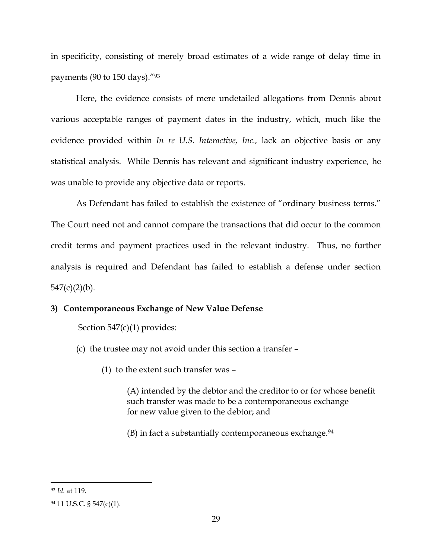in specificity, consisting of merely broad estimates of a wide range of delay time in payments (90 to 150 days)."<sup>93</sup>

Here, the evidence consists of mere undetailed allegations from Dennis about various acceptable ranges of payment dates in the industry, which, much like the evidence provided within *In re U.S. Interactive, Inc.,* lack an objective basis or any statistical analysis. While Dennis has relevant and significant industry experience, he was unable to provide any objective data or reports.

As Defendant has failed to establish the existence of "ordinary business terms." The Court need not and cannot compare the transactions that did occur to the common credit terms and payment practices used in the relevant industry. Thus, no further analysis is required and Defendant has failed to establish a defense under section  $547(c)(2)(b)$ .

# **3) Contemporaneous Exchange of New Value Defense**

Section 547(c)(1) provides:

- (c) the trustee may not avoid under this section a transfer
	- (1) to the extent such transfer was –

(A) intended by the debtor and the creditor to or for whose benefit such transfer was made to be a contemporaneous exchange for new value given to the debtor; and

 $(B)$  in fact a substantially contemporaneous exchange.<sup>94</sup>

<sup>93</sup> *Id.* at 119.

<sup>94</sup> 11 U.S.C. § 547(c)(1).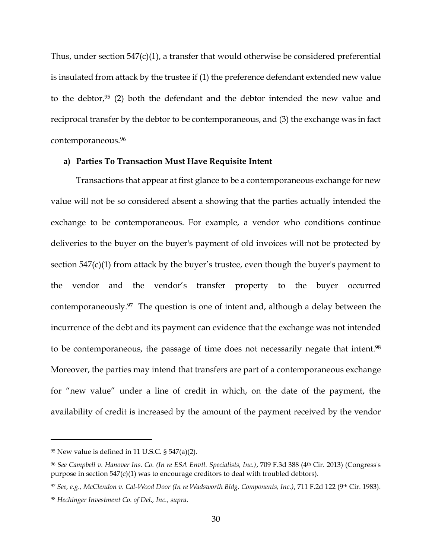Thus, under section 547(c)(1), a transfer that would otherwise be considered preferential is insulated from attack by the trustee if (1) the preference defendant extended new value to the debtor, $95$  (2) both the defendant and the debtor intended the new value and reciprocal transfer by the debtor to be contemporaneous, and (3) the exchange was in fact contemporaneous.<sup>96</sup>

### **a) Parties To Transaction Must Have Requisite Intent**

Transactions that appear at first glance to be a contemporaneous exchange for new value will not be so considered absent a showing that the parties actually intended the exchange to be contemporaneous. For example, a vendor who conditions continue deliveries to the buyer on the buyer's payment of old invoices will not be protected by section 547(c)(1) from attack by the buyer's trustee, even though the buyer's payment to the vendor and the vendor's transfer property to the buyer occurred contemporaneously.97 The question is one of intent and, although a delay between the incurrence of the debt and its payment can evidence that the exchange was not intended to be contemporaneous, the passage of time does not necessarily negate that intent.<sup>98</sup> Moreover, the parties may intend that transfers are part of a contemporaneous exchange for "new value" under a line of credit in which, on the date of the payment, the availability of credit is increased by the amount of the payment received by the vendor

 $95$  New value is defined in 11 U.S.C. § 547(a)(2).

<sup>96</sup> *See Campbell v. Hanover Ins. Co. (In re ESA Envtl. Specialists, Inc.)*, 709 F.3d 388 (4th Cir. 2013) (Congress's purpose in section 547(c)(1) was to encourage creditors to deal with troubled debtors).

<sup>97</sup> See, e.g., McClendon v. Cal-Wood Door (In re Wadsworth Bldg. Components, Inc.), 711 F.2d 122 (9th Cir. 1983).

<sup>98</sup> *Hechinger Investment Co. of Del., Inc., supra*.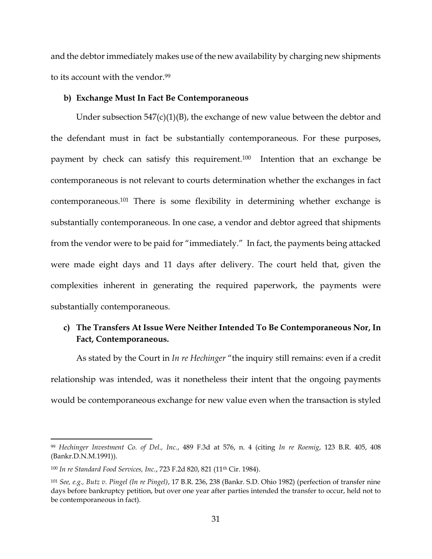and the debtor immediately makes use of the new availability by charging new shipments to its account with the vendor.<sup>99</sup>

### **b) Exchange Must In Fact Be Contemporaneous**

Under subsection 547(c)(1)(B), the exchange of new value between the debtor and the defendant must in fact be substantially contemporaneous. For these purposes, payment by check can satisfy this requirement.100 Intention that an exchange be contemporaneous is not relevant to courts determination whether the exchanges in fact contemporaneous.<sup>101</sup> There is some flexibility in determining whether exchange is substantially contemporaneous. In one case, a vendor and debtor agreed that shipments from the vendor were to be paid for "immediately." In fact, the payments being attacked were made eight days and 11 days after delivery. The court held that, given the complexities inherent in generating the required paperwork, the payments were substantially contemporaneous.

# **c) The Transfers At Issue Were Neither Intended To Be Contemporaneous Nor, In Fact, Contemporaneous.**

As stated by the Court in *In re Hechinger* "the inquiry still remains: even if a credit relationship was intended, was it nonetheless their intent that the ongoing payments would be contemporaneous exchange for new value even when the transaction is styled

<sup>99</sup> *Hechinger Investment Co. of Del., Inc.*, 489 F.3d at 576, n. 4 (citing *In re Roemig*, 123 B.R. 405, 408 (Bankr.D.N.M.1991)).

<sup>100</sup> *In re Standard Food Services, Inc.*, 723 F.2d 820, 821 (11th Cir. 1984).

<sup>101</sup> *See, e.g., Butz v. Pingel (In re Pingel)*, 17 B.R. 236, 238 (Bankr. S.D. Ohio 1982) (perfection of transfer nine days before bankruptcy petition, but over one year after parties intended the transfer to occur, held not to be contemporaneous in fact).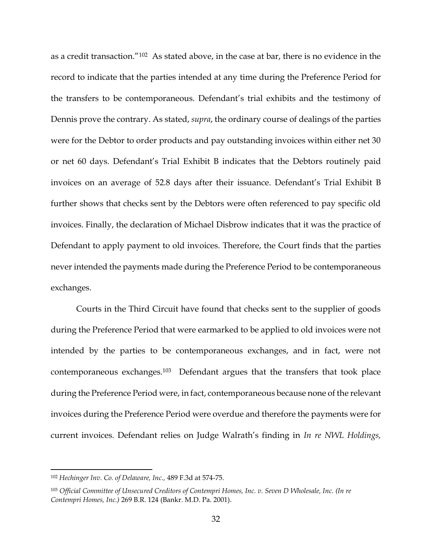as a credit transaction."<sup>102</sup> As stated above, in the case at bar, there is no evidence in the record to indicate that the parties intended at any time during the Preference Period for the transfers to be contemporaneous. Defendant's trial exhibits and the testimony of Dennis prove the contrary. As stated, *supra*, the ordinary course of dealings of the parties were for the Debtor to order products and pay outstanding invoices within either net 30 or net 60 days. Defendant's Trial Exhibit B indicates that the Debtors routinely paid invoices on an average of 52.8 days after their issuance. Defendant's Trial Exhibit B further shows that checks sent by the Debtors were often referenced to pay specific old invoices. Finally, the declaration of Michael Disbrow indicates that it was the practice of Defendant to apply payment to old invoices. Therefore, the Court finds that the parties never intended the payments made during the Preference Period to be contemporaneous exchanges.

Courts in the Third Circuit have found that checks sent to the supplier of goods during the Preference Period that were earmarked to be applied to old invoices were not intended by the parties to be contemporaneous exchanges, and in fact, were not contemporaneous exchanges.103 Defendant argues that the transfers that took place during the Preference Period were, in fact, contemporaneous because none of the relevant invoices during the Preference Period were overdue and therefore the payments were for current invoices. Defendant relies on Judge Walrath's finding in *In re NWL Holdings,* 

<sup>102</sup> *Hechinger Inv. Co. of Delaware, Inc.,* 489 F.3d at 574-75.

<sup>103</sup> *Official Committee of Unsecured Creditors of Contempri Homes, Inc. v. Seven D Wholesale, Inc. (In re Contempri Homes, Inc.)* 269 B.R. 124 (Bankr. M.D. Pa. 2001).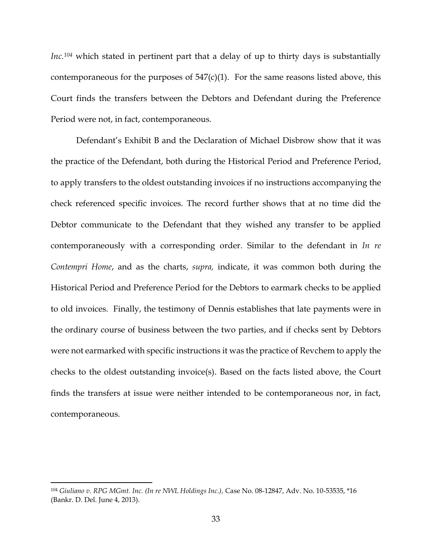*Inc.<sup>104</sup>* which stated in pertinent part that a delay of up to thirty days is substantially contemporaneous for the purposes of  $547(c)(1)$ . For the same reasons listed above, this Court finds the transfers between the Debtors and Defendant during the Preference Period were not, in fact, contemporaneous.

Defendant's Exhibit B and the Declaration of Michael Disbrow show that it was the practice of the Defendant, both during the Historical Period and Preference Period, to apply transfers to the oldest outstanding invoices if no instructions accompanying the check referenced specific invoices. The record further shows that at no time did the Debtor communicate to the Defendant that they wished any transfer to be applied contemporaneously with a corresponding order. Similar to the defendant in *In re Contempri Home*, and as the charts, *supra,* indicate, it was common both during the Historical Period and Preference Period for the Debtors to earmark checks to be applied to old invoices. Finally, the testimony of Dennis establishes that late payments were in the ordinary course of business between the two parties, and if checks sent by Debtors were not earmarked with specific instructions it was the practice of Revchem to apply the checks to the oldest outstanding invoice(s). Based on the facts listed above, the Court finds the transfers at issue were neither intended to be contemporaneous nor, in fact, contemporaneous.

<sup>104</sup> *Giuliano v. RPG MGmt. Inc. (In re NWL Holdings Inc.),* Case No. 08-12847, Adv. No. 10-53535, \*16 (Bankr. D. Del. June 4, 2013).